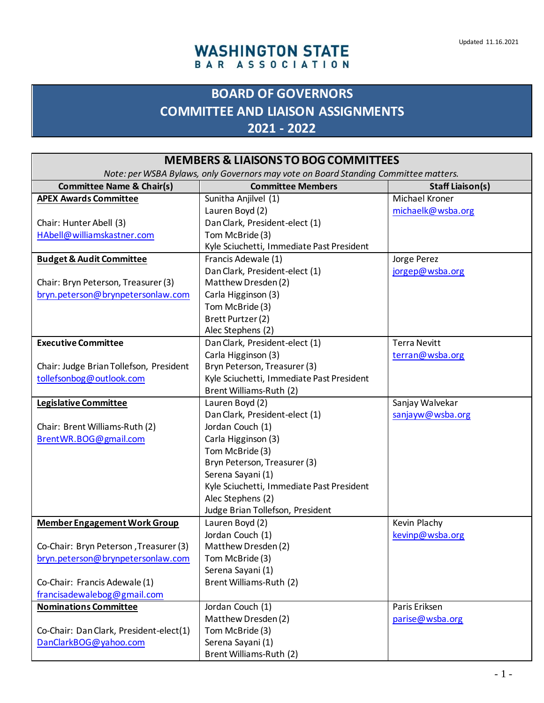## **WASHINGTON STATE** BAR ASSOCIATION

## **BOARD OF GOVERNORS COMMITTEE AND LIAISON ASSIGNMENTS 2021 - 2022**

| <b>MEMBERS &amp; LIAISONS TO BOG COMMITTEES</b>                                     |                                              |                         |
|-------------------------------------------------------------------------------------|----------------------------------------------|-------------------------|
| Note: per WSBA Bylaws, only Governors may vote on Board Standing Committee matters. |                                              |                         |
| <b>Committee Name &amp; Chair(s)</b>                                                | <b>Committee Members</b>                     | <b>Staff Liaison(s)</b> |
| <b>APEX Awards Committee</b>                                                        | Sunitha Anjilvel (1)                         | <b>Michael Kroner</b>   |
|                                                                                     | Lauren Boyd (2)                              | michaelk@wsba.org       |
| Chair: Hunter Abell (3)                                                             | Dan Clark, President-elect (1)               |                         |
| HAbell@williamskastner.com                                                          | Tom McBride (3)                              |                         |
|                                                                                     | Kyle Sciuchetti, Immediate Past President    |                         |
| <b>Budget &amp; Audit Committee</b>                                                 | Francis Adewale (1)                          | Jorge Perez             |
|                                                                                     | Dan Clark, President-elect (1)               | jorgep@wsba.org         |
| Chair: Bryn Peterson, Treasurer (3)                                                 | Matthew Dresden (2)                          |                         |
| bryn.peterson@brynpetersonlaw.com                                                   | Carla Higginson (3)                          |                         |
|                                                                                     | Tom McBride (3)                              |                         |
|                                                                                     | Brett Purtzer (2)                            |                         |
|                                                                                     | Alec Stephens (2)                            |                         |
| <b>Executive Committee</b>                                                          | Dan Clark, President-elect (1)               | <b>Terra Nevitt</b>     |
|                                                                                     | Carla Higginson (3)                          | terran@wsba.org         |
| Chair: Judge Brian Tollefson, President                                             | Bryn Peterson, Treasurer (3)                 |                         |
| tollefsonbog@outlook.com                                                            | Kyle Sciuchetti, Immediate Past President    |                         |
|                                                                                     | Brent Williams-Ruth (2)                      |                         |
| Legislative Committee                                                               | Lauren Boyd $(2)$                            | Sanjay Walvekar         |
|                                                                                     | Dan Clark, President-elect (1)               | sanjayw@wsba.org        |
| Chair: Brent Williams-Ruth (2)                                                      | Jordan Couch (1)                             |                         |
| BrentWR.BOG@gmail.com                                                               | Carla Higginson (3)                          |                         |
|                                                                                     | Tom McBride (3)                              |                         |
|                                                                                     | Bryn Peterson, Treasurer (3)                 |                         |
|                                                                                     | Serena Sayani (1)                            |                         |
|                                                                                     | Kyle Sciuchetti, Immediate Past President    |                         |
|                                                                                     | Alec Stephens (2)                            |                         |
|                                                                                     | Judge Brian Tollefson, President             |                         |
| <b>Member Engagement Work Group</b>                                                 | Lauren Boyd (2)                              | Kevin Plachy            |
|                                                                                     | Jordan Couch (1)                             | kevinp@wsba.org         |
| Co-Chair: Bryn Peterson, Treasurer (3)                                              | Matthew Dresden (2)                          |                         |
| bryn.peterson@brynpetersonlaw.com                                                   | Tom McBride (3)                              |                         |
|                                                                                     | Serena Sayani (1)<br>Brent Williams-Ruth (2) |                         |
| Co-Chair: Francis Adewale (1)                                                       |                                              |                         |
| francisadewalebog@gmail.com<br><b>Nominations Committee</b>                         | Jordan Couch (1)                             | Paris Eriksen           |
|                                                                                     | Matthew Dresden (2)                          | parise@wsba.org         |
| Co-Chair: Dan Clark, President-elect(1)                                             | Tom McBride (3)                              |                         |
| DanClarkBOG@yahoo.com                                                               | Serena Sayani (1)                            |                         |
|                                                                                     | Brent Williams-Ruth (2)                      |                         |
|                                                                                     |                                              |                         |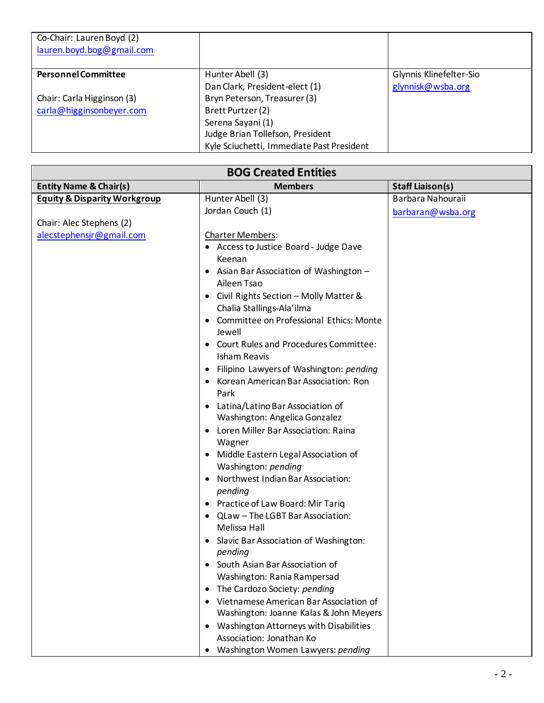| Co-Chair: Lauren Boyd (2)  |                                           |                         |
|----------------------------|-------------------------------------------|-------------------------|
| lauren.boyd.bog@gmail.com  |                                           |                         |
|                            |                                           |                         |
| <b>Personnel Committee</b> | Hunter Abell (3)                          | Glynnis Klinefelter-Sio |
|                            | Dan Clark, President-elect (1)            | glynnisk@wsba.org       |
| Chair: Carla Higginson (3) | Bryn Peterson, Treasurer (3)              |                         |
| carla@higginsonbeyer.com   | Brett Purtzer (2)                         |                         |
|                            | Serena Sayani (1)                         |                         |
|                            | Judge Brian Tollefson, President          |                         |
|                            | Kyle Sciuchetti, Immediate Past President |                         |

 $\overline{\phantom{0}}$ 

| <b>BOG Created Entities</b>             |                                                                                                                                                                                                                                                                                                                                                                                                                                                                                                                                                                                                                                                                                                                                                                                                                          |                   |
|-----------------------------------------|--------------------------------------------------------------------------------------------------------------------------------------------------------------------------------------------------------------------------------------------------------------------------------------------------------------------------------------------------------------------------------------------------------------------------------------------------------------------------------------------------------------------------------------------------------------------------------------------------------------------------------------------------------------------------------------------------------------------------------------------------------------------------------------------------------------------------|-------------------|
| <b>Entity Name &amp; Chair(s)</b>       | <b>Members</b><br><b>Staff Liaison(s)</b>                                                                                                                                                                                                                                                                                                                                                                                                                                                                                                                                                                                                                                                                                                                                                                                |                   |
| <b>Equity &amp; Disparity Workgroup</b> | Hunter Abell (3)                                                                                                                                                                                                                                                                                                                                                                                                                                                                                                                                                                                                                                                                                                                                                                                                         | Barbara Nahouraii |
|                                         | Jordan Couch (1)                                                                                                                                                                                                                                                                                                                                                                                                                                                                                                                                                                                                                                                                                                                                                                                                         | barbaran@wsba.org |
| Chair: Alec Stephens (2)                |                                                                                                                                                                                                                                                                                                                                                                                                                                                                                                                                                                                                                                                                                                                                                                                                                          |                   |
| alecstephensjr@gmail.com                | Charter Members:<br>• Access to Justice Board - Judge Dave<br>Keenan<br>• Asian Bar Association of Washington -<br>Aileen Tsao<br>• Civil Rights Section - Molly Matter &<br>Chalia Stallings-Ala'ilma<br>• Committee on Professional Ethics: Monte<br>Jewell<br>• Court Rules and Procedures Committee:<br><b>Isham Reavis</b><br>• Filipino Lawyers of Washington: pending<br>• Korean American Bar Association: Ron<br>Park<br>• Latina/Latino Bar Association of<br>Washington: Angelica Gonzalez<br>• Loren Miller Bar Association: Raina<br>Wagner<br>• Middle Eastern Legal Association of<br>Washington: pending<br>Northwest Indian Bar Association:<br>pending<br>• Practice of Law Board: Mir Tariq<br>• QLaw - The LGBT Bar Association:<br>Melissa Hall<br>Slavic Bar Association of Washington:<br>pending |                   |
|                                         | South Asian Bar Association of<br>Washington: Rania Rampersad                                                                                                                                                                                                                                                                                                                                                                                                                                                                                                                                                                                                                                                                                                                                                            |                   |
|                                         | The Cardozo Society: pending<br>$\bullet$                                                                                                                                                                                                                                                                                                                                                                                                                                                                                                                                                                                                                                                                                                                                                                                |                   |
|                                         | Vietnamese American Bar Association of                                                                                                                                                                                                                                                                                                                                                                                                                                                                                                                                                                                                                                                                                                                                                                                   |                   |
|                                         | Washington: Joanne Kalas & John Meyers                                                                                                                                                                                                                                                                                                                                                                                                                                                                                                                                                                                                                                                                                                                                                                                   |                   |
|                                         | Washington Attorneys with Disabilities<br>$\bullet$                                                                                                                                                                                                                                                                                                                                                                                                                                                                                                                                                                                                                                                                                                                                                                      |                   |
|                                         | Association: Jonathan Ko                                                                                                                                                                                                                                                                                                                                                                                                                                                                                                                                                                                                                                                                                                                                                                                                 |                   |
|                                         | Washington Women Lawyers: pending<br>$\bullet$                                                                                                                                                                                                                                                                                                                                                                                                                                                                                                                                                                                                                                                                                                                                                                           |                   |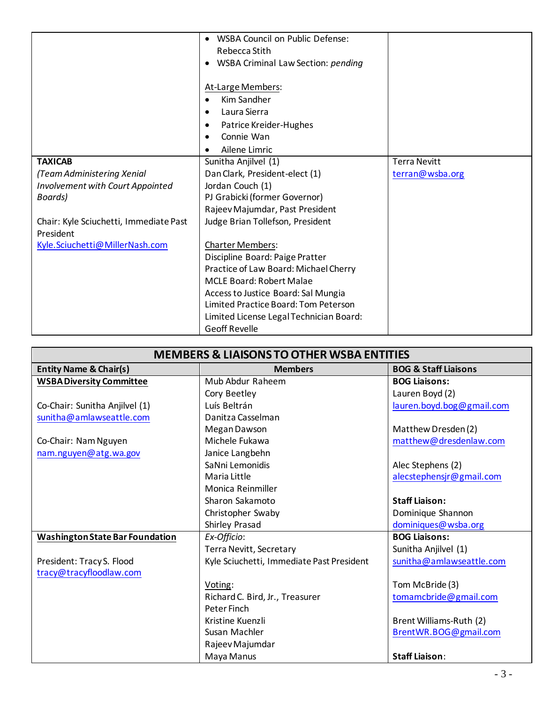|                                         | <b>WSBA Council on Public Defense:</b><br>$\bullet$ |                     |
|-----------------------------------------|-----------------------------------------------------|---------------------|
|                                         | Rebecca Stith                                       |                     |
|                                         | <b>WSBA Criminal Law Section: pending</b>           |                     |
|                                         |                                                     |                     |
|                                         | At-Large Members:                                   |                     |
|                                         | Kim Sandher<br>$\bullet$                            |                     |
|                                         | Laura Sierra<br>$\bullet$                           |                     |
|                                         | Patrice Kreider-Hughes<br>٠                         |                     |
|                                         | Connie Wan                                          |                     |
|                                         | Ailene Limric                                       |                     |
| <b>TAXICAB</b>                          | Sunitha Anjilvel (1)                                | <b>Terra Nevitt</b> |
| (Team Administering Xenial              | Dan Clark, President-elect (1)                      | terran@wsba.org     |
| <b>Involvement with Court Appointed</b> | Jordan Couch (1)                                    |                     |
| Boards)                                 | PJ Grabicki (former Governor)                       |                     |
|                                         | Rajeev Majumdar, Past President                     |                     |
| Chair: Kyle Sciuchetti, Immediate Past  | Judge Brian Tollefson, President                    |                     |
| President                               |                                                     |                     |
| Kyle.Sciuchetti@MillerNash.com          | <b>Charter Members:</b>                             |                     |
|                                         | Discipline Board: Paige Pratter                     |                     |
|                                         | Practice of Law Board: Michael Cherry               |                     |
|                                         | <b>MCLE Board: Robert Malae</b>                     |                     |
|                                         | Access to Justice Board: Sal Mungia                 |                     |
|                                         | Limited Practice Board: Tom Peterson                |                     |
|                                         | Limited License Legal Technician Board:             |                     |
|                                         | <b>Geoff Revelle</b>                                |                     |

| <b>MEMBERS &amp; LIAISONS TO OTHER WSBA ENTITIES</b> |                                           |                                 |
|------------------------------------------------------|-------------------------------------------|---------------------------------|
| <b>Entity Name &amp; Chair(s)</b>                    | <b>Members</b>                            | <b>BOG &amp; Staff Liaisons</b> |
| <b>WSBA Diversity Committee</b>                      | Mub Abdur Raheem                          | <b>BOG Liaisons:</b>            |
|                                                      | Cory Beetley                              | Lauren Boyd (2)                 |
| Co-Chair: Sunitha Anjilvel (1)                       | Luís Beltrán                              | lauren.boyd.bog@gmail.com       |
| sunitha@amlawseattle.com                             | Danitza Casselman                         |                                 |
|                                                      | Megan Dawson                              | Matthew Dresden (2)             |
| Co-Chair: Nam Nguyen                                 | Michele Fukawa                            | matthew@dresdenlaw.com          |
| nam.nguyen@atg.wa.gov                                | Janice Langbehn                           |                                 |
|                                                      | SaNni Lemonidis                           | Alec Stephens (2)               |
|                                                      | Maria Little                              | alecstephensjr@gmail.com        |
|                                                      | Monica Reinmiller                         |                                 |
|                                                      | Sharon Sakamoto                           | <b>Staff Liaison:</b>           |
|                                                      | Christopher Swaby                         | Dominique Shannon               |
|                                                      | Shirley Prasad                            | dominiques@wsba.org             |
| <b>Washington State Bar Foundation</b>               | Ex-Officio:                               | <b>BOG Liaisons:</b>            |
|                                                      | Terra Nevitt, Secretary                   | Sunitha Anjilvel (1)            |
| President: Tracy S. Flood                            | Kyle Sciuchetti, Immediate Past President | sunitha@amlawseattle.com        |
| tracy@tracyfloodlaw.com                              |                                           |                                 |
|                                                      | Voting:                                   | Tom McBride (3)                 |
|                                                      | Richard C. Bird, Jr., Treasurer           | tomamcbride@gmail.com           |
|                                                      | Peter Finch                               |                                 |
|                                                      | Kristine Kuenzli                          | Brent Williams-Ruth (2)         |
|                                                      | Susan Machler                             | BrentWR.BOG@gmail.com           |
|                                                      | Rajeev Majumdar                           |                                 |
|                                                      | Maya Manus                                | <b>Staff Liaison:</b>           |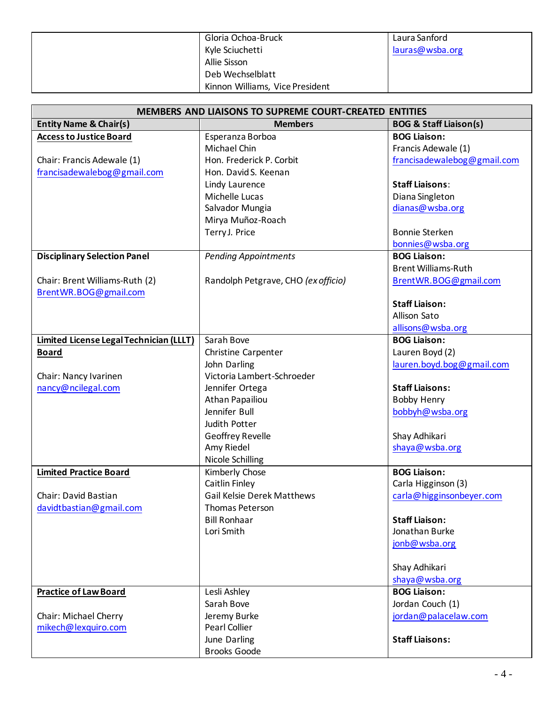| Gloria Ochoa-Bruck              | Laura Sanford   |
|---------------------------------|-----------------|
| Kyle Sciuchetti                 | lauras@wsba.org |
| Allie Sisson                    |                 |
| Deb Wechselblatt                |                 |
| Kinnon Williams, Vice President |                 |

| <b>MEMBERS AND LIAISONS TO SUPREME COURT-CREATED ENTITIES</b> |                                     |                                   |
|---------------------------------------------------------------|-------------------------------------|-----------------------------------|
| <b>Entity Name &amp; Chair(s)</b>                             | <b>Members</b>                      | <b>BOG &amp; Staff Liaison(s)</b> |
| <b>Access to Justice Board</b>                                | Esperanza Borboa                    | <b>BOG Liaison:</b>               |
|                                                               | Michael Chin                        | Francis Adewale (1)               |
| Chair: Francis Adewale (1)                                    | Hon. Frederick P. Corbit            | francisadewalebog@gmail.com       |
| francisadewalebog@gmail.com                                   | Hon. David S. Keenan                |                                   |
|                                                               | Lindy Laurence                      | <b>Staff Liaisons:</b>            |
|                                                               | Michelle Lucas                      | Diana Singleton                   |
|                                                               | Salvador Mungia                     | dianas@wsba.org                   |
|                                                               | Mirya Muñoz-Roach                   |                                   |
|                                                               | Terry J. Price                      | <b>Bonnie Sterken</b>             |
|                                                               |                                     | bonnies@wsba.org                  |
| <b>Disciplinary Selection Panel</b>                           | <b>Pending Appointments</b>         | <b>BOG Liaison:</b>               |
|                                                               |                                     | <b>Brent Williams-Ruth</b>        |
| Chair: Brent Williams-Ruth (2)                                | Randolph Petgrave, CHO (ex officio) | BrentWR.BOG@gmail.com             |
| BrentWR.BOG@gmail.com                                         |                                     |                                   |
|                                                               |                                     | <b>Staff Liaison:</b>             |
|                                                               |                                     | Allison Sato                      |
|                                                               |                                     | allisons@wsba.org                 |
| Limited License Legal Technician (LLLT)                       | Sarah Bove                          | <b>BOG Liaison:</b>               |
| <b>Board</b>                                                  | Christine Carpenter                 | Lauren Boyd (2)                   |
|                                                               | John Darling                        | lauren.boyd.bog@gmail.com         |
| Chair: Nancy Ivarinen                                         | Victoria Lambert-Schroeder          |                                   |
| nancy@ncilegal.com                                            | Jennifer Ortega                     | <b>Staff Liaisons:</b>            |
|                                                               | Athan Papailiou                     | <b>Bobby Henry</b>                |
|                                                               | Jennifer Bull                       | bobbyh@wsba.org                   |
|                                                               | Judith Potter                       |                                   |
|                                                               | Geoffrey Revelle                    | Shay Adhikari                     |
|                                                               | Amy Riedel                          | shaya@wsba.org                    |
|                                                               | <b>Nicole Schilling</b>             |                                   |
| <b>Limited Practice Board</b>                                 | Kimberly Chose                      | <b>BOG Liaison:</b>               |
|                                                               | Caitlin Finley                      | Carla Higginson (3)               |
| Chair: David Bastian                                          | <b>Gail Kelsie Derek Matthews</b>   | carla@higginsonbeyer.com          |
| davidtbastian@gmail.com                                       | Thomas Peterson                     |                                   |
|                                                               | <b>Bill Ronhaar</b>                 | <b>Staff Liaison:</b>             |
|                                                               | Lori Smith                          | Jonathan Burke                    |
|                                                               |                                     | jonb@wsba.org                     |
|                                                               |                                     |                                   |
|                                                               |                                     | Shay Adhikari                     |
|                                                               |                                     | shaya@wsba.org                    |
| <b>Practice of Law Board</b>                                  | Lesli Ashley                        | <b>BOG Liaison:</b>               |
|                                                               | Sarah Bove                          | Jordan Couch (1)                  |
| Chair: Michael Cherry                                         | Jeremy Burke                        | jordan@palacelaw.com              |
| mikech@lexquiro.com                                           | Pearl Collier                       |                                   |
|                                                               | June Darling                        | <b>Staff Liaisons:</b>            |
|                                                               | <b>Brooks Goode</b>                 |                                   |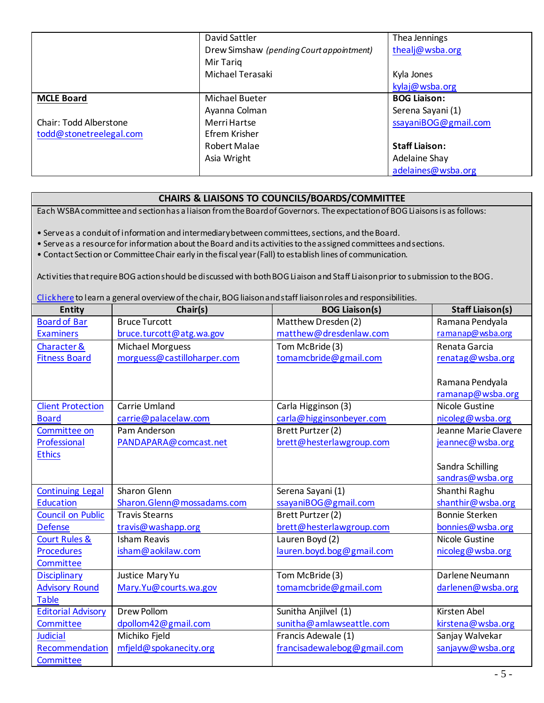|                         | David Sattler                            | Thea Jennings         |
|-------------------------|------------------------------------------|-----------------------|
|                         | Drew Simshaw (pending Court appointment) | thealj@wsba.org       |
|                         | Mir Tariq                                |                       |
|                         | Michael Terasaki                         | Kyla Jones            |
|                         |                                          | kylaj@wsba.org        |
| <b>MCLE Board</b>       | Michael Bueter                           | <b>BOG Liaison:</b>   |
|                         | Ayanna Colman                            | Serena Sayani (1)     |
| Chair: Todd Alberstone  | Merri Hartse                             | ssayaniBOG@gmail.com  |
| todd@stonetreelegal.com | Efrem Krisher                            |                       |
|                         | Robert Malae                             | <b>Staff Liaison:</b> |
|                         | Asia Wright                              | Adelaine Shay         |
|                         |                                          | adelaines@wsba.org    |

## **CHAIRS & LIAISONS TO COUNCILS/BOARDS/COMMITTEE**

Each WSBA committee and section has a liaison from the Board of Governors. The expectation of BOG Liaisons is asfollows:

• Serve as a conduit of information and intermediary between committees, sections, and the Board.

• Serve as a resource for information about the Board and its activities to the assigned committees and sections.

• Contact Section or Committee Chair early in the fiscal year (Fall) to establish lines of communication.

Activities that require BOG action should be discussed with both BOG Liaison and Staff Liaison prior to submission to the BOG.

[Click here](https://www.wsba.org/docs/default-source/legal-community/volunteer/volunteer-toolbox/wsba-entity-chairs-and-liaisons---roles-and-responsibilities.pdf?sfvrsn=758103f1_6) to learn a general overview of the chair, BOG liaison and staff liaison roles and responsibilities.

| <b>Entity</b>             | Chair(s)                    | <b>BOG Liaison(s)</b>       | <b>Staff Liaison(s)</b> |
|---------------------------|-----------------------------|-----------------------------|-------------------------|
| <b>Board of Bar</b>       | <b>Bruce Turcott</b>        | Matthew Dresden(2)          | Ramana Pendyala         |
| <b>Examiners</b>          | bruce.turcott@atg.wa.gov    | matthew@dresdenlaw.com      | ramanap@wsba.org        |
| Character &               | <b>Michael Morguess</b>     | Tom McBride (3)             | Renata Garcia           |
| <b>Fitness Board</b>      | morguess@castilloharper.com | tomamcbride@gmail.com       | renatag@wsba.org        |
|                           |                             |                             |                         |
|                           |                             |                             | Ramana Pendyala         |
|                           |                             |                             | ramanap@wsba.org        |
| <b>Client Protection</b>  | Carrie Umland               | Carla Higginson (3)         | <b>Nicole Gustine</b>   |
| <b>Board</b>              | carrie@palacelaw.com        | carla@higginsonbeyer.com    | nicoleg@wsba.org        |
| Committee on              | Pam Anderson                | Brett Purtzer (2)           | Jeanne Marie Clavere    |
| Professional              | PANDAPARA@comcast.net       | brett@hesterlawgroup.com    | jeannec@wsba.org        |
| <b>Ethics</b>             |                             |                             |                         |
|                           |                             |                             | Sandra Schilling        |
|                           |                             |                             | sandras@wsba.org        |
| <b>Continuing Legal</b>   | Sharon Glenn                | Serena Sayani (1)           | Shanthi Raghu           |
| <b>Education</b>          | Sharon.Glenn@mossadams.com  | ssayaniBOG@gmail.com        | shanthir@wsba.org       |
| <b>Council on Public</b>  | <b>Travis Stearns</b>       | Brett Purtzer (2)           | <b>Bonnie Sterken</b>   |
| <b>Defense</b>            | travis@washapp.org          | brett@hesterlawgroup.com    | bonnies@wsba.org        |
| <b>Court Rules &amp;</b>  | <b>Isham Reavis</b>         | Lauren Boyd (2)             | <b>Nicole Gustine</b>   |
| <b>Procedures</b>         | isham@aokilaw.com           | lauren.boyd.bog@gmail.com   | nicoleg@wsba.org        |
| Committee                 |                             |                             |                         |
| <b>Disciplinary</b>       | Justice Mary Yu             | Tom McBride (3)             | Darlene Neumann         |
| <b>Advisory Round</b>     | Mary.Yu@courts.wa.gov       | tomamcbride@gmail.com       | darlenen@wsba.org       |
| <b>Table</b>              |                             |                             |                         |
| <b>Editorial Advisory</b> | <b>Drew Pollom</b>          | Sunitha Anjilvel (1)        | Kirsten Abel            |
| Committee                 | dpollom42@gmail.com         | sunitha@amlawseattle.com    | kirstena@wsba.org       |
| <b>Judicial</b>           | Michiko Fjeld               | Francis Adewale (1)         | Sanjay Walvekar         |
| Recommendation            | mfjeld@spokanecity.org      | francisadewalebog@gmail.com | sanjayw@wsba.org        |
| Committee                 |                             |                             |                         |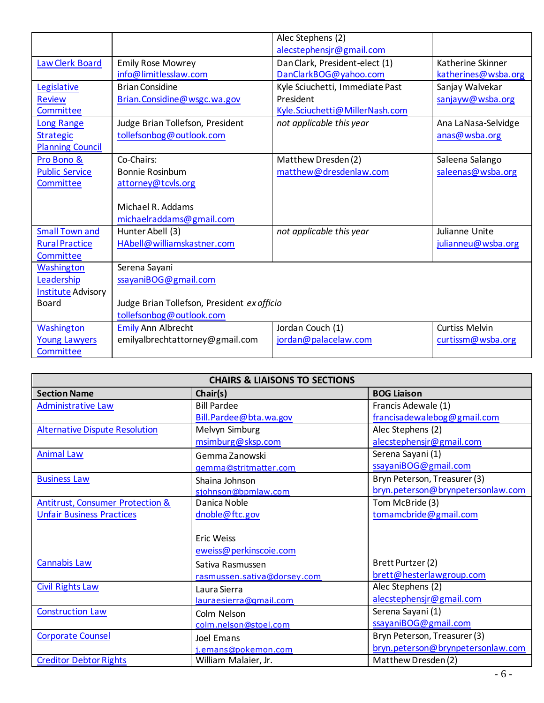|                           |                                             | Alec Stephens (2)               |                       |
|---------------------------|---------------------------------------------|---------------------------------|-----------------------|
|                           |                                             | alecstephensjr@gmail.com        |                       |
| Law Clerk Board           | <b>Emily Rose Mowrey</b>                    | Dan Clark, President-elect (1)  | Katherine Skinner     |
|                           | info@limitlesslaw.com                       | DanClarkBOG@yahoo.com           | katherines@wsba.org   |
| Legislative               | <b>Brian Considine</b>                      | Kyle Sciuchetti, Immediate Past | Sanjay Walvekar       |
| <b>Review</b>             | Brian.Considine@wsgc.wa.gov                 | President                       | sanjayw@wsba.org      |
| Committee                 |                                             | Kyle.Sciuchetti@MillerNash.com  |                       |
| Long Range                | Judge Brian Tollefson, President            | not applicable this year        | Ana LaNasa-Selvidge   |
| <b>Strategic</b>          | tollefsonbog@outlook.com                    |                                 | anas@wsba.org         |
| <b>Planning Council</b>   |                                             |                                 |                       |
| Pro Bono &                | Co-Chairs:                                  | Matthew Dresden(2)              | Saleena Salango       |
| <b>Public Service</b>     | <b>Bonnie Rosinbum</b>                      | matthew@dresdenlaw.com          | saleenas@wsba.org     |
| Committee                 | attorney@tcvls.org                          |                                 |                       |
|                           |                                             |                                 |                       |
|                           | Michael R. Addams                           |                                 |                       |
|                           | michaelraddams@gmail.com                    |                                 |                       |
| <b>Small Town and</b>     | Hunter Abell (3)                            | not applicable this year        | Julianne Unite        |
| <b>Rural Practice</b>     | HAbell@williamskastner.com                  |                                 | julianneu@wsba.org    |
| Committee                 |                                             |                                 |                       |
| Washington                | Serena Sayani                               |                                 |                       |
| Leadership                | ssayaniBOG@gmail.com                        |                                 |                       |
| <b>Institute Advisory</b> |                                             |                                 |                       |
| <b>Board</b>              | Judge Brian Tollefson, President ex officio |                                 |                       |
|                           | tollefsonbog@outlook.com                    |                                 |                       |
| Washington                | <b>Emily Ann Albrecht</b>                   | Jordan Couch (1)                | <b>Curtiss Melvin</b> |
| <b>Young Lawyers</b>      | emilyalbrechtattorney@gmail.com             | jordan@palacelaw.com            | curtissm@wsba.org     |
| Committee                 |                                             |                                 |                       |

| <b>CHAIRS &amp; LIAISONS TO SECTIONS</b>    |                             |                                   |  |
|---------------------------------------------|-----------------------------|-----------------------------------|--|
| <b>Section Name</b>                         | Chair(s)                    | <b>BOG Liaison</b>                |  |
| <b>Administrative Law</b>                   | <b>Bill Pardee</b>          | Francis Adewale (1)               |  |
|                                             | Bill.Pardee@bta.wa.gov      | francisadewalebog@gmail.com       |  |
| <b>Alternative Dispute Resolution</b>       | Melvyn Simburg              | Alec Stephens (2)                 |  |
|                                             | msimburg@sksp.com           | alecstephensjr@gmail.com          |  |
| <b>Animal Law</b>                           | Gemma Zanowski              | Serena Sayani (1)                 |  |
|                                             | gemma@stritmatter.com       | ssayaniBOG@gmail.com              |  |
| <b>Business Law</b>                         | Shaina Johnson              | Bryn Peterson, Treasurer (3)      |  |
|                                             | sjohnson@bpmlaw.com         | bryn.peterson@brynpetersonlaw.com |  |
| <b>Antitrust, Consumer Protection &amp;</b> | Danica Noble                | Tom McBride (3)                   |  |
| <b>Unfair Business Practices</b>            | dnoble@ftc.gov              | tomamcbride@gmail.com             |  |
|                                             |                             |                                   |  |
|                                             | <b>Eric Weiss</b>           |                                   |  |
|                                             | eweiss@perkinscoie.com      |                                   |  |
| <b>Cannabis Law</b>                         | Sativa Rasmussen            | Brett Purtzer (2)                 |  |
|                                             | rasmussen.sativa@dorsey.com | brett@hesterlawgroup.com          |  |
| <b>Civil Rights Law</b>                     | Laura Sierra                | Alec Stephens (2)                 |  |
|                                             | lauraesierra@qmail.com      | alecstephensjr@gmail.com          |  |
| <b>Construction Law</b>                     | Colm Nelson                 | Serena Sayani (1)                 |  |
|                                             | colm.nelson@stoel.com       | ssayaniBOG@gmail.com              |  |
| <b>Corporate Counsel</b>                    | Joel Emans                  | Bryn Peterson, Treasurer (3)      |  |
|                                             | j.emans@pokemon.com         | bryn.peterson@brynpetersonlaw.com |  |
| <b>Creditor Debtor Rights</b>               | William Malaier, Jr.        | Matthew Dresden (2)               |  |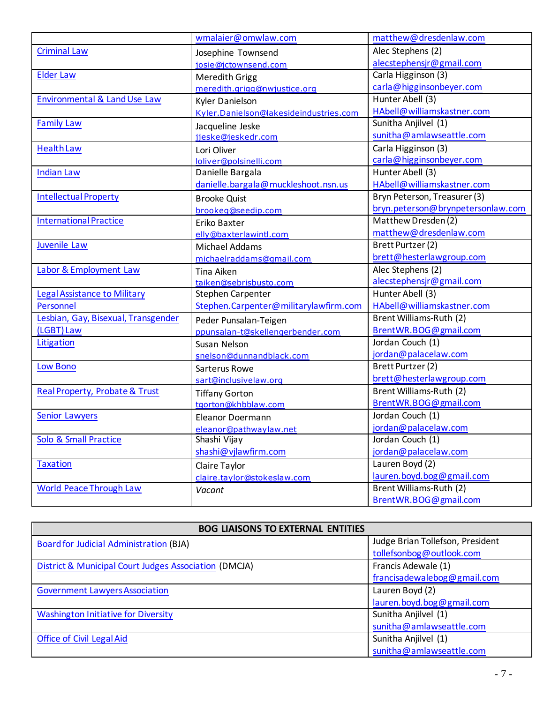|                                           | wmalaier@omwlaw.com                    | matthew@dresdenlaw.com            |
|-------------------------------------------|----------------------------------------|-----------------------------------|
| <b>Criminal Law</b>                       | Josephine Townsend                     | Alec Stephens (2)                 |
|                                           | josie@jctownsend.com                   | alecstephensjr@gmail.com          |
| <b>Elder Law</b>                          | Meredith Grigg                         | Carla Higginson (3)               |
|                                           | meredith.grigg@nwjustice.org           | carla@higginsonbeyer.com          |
| <b>Environmental &amp; Land Use Law</b>   | Kyler Danielson                        | Hunter Abell (3)                  |
|                                           | Kyler.Danielson@lakesideindustries.com | HAbell@williamskastner.com        |
| <b>Family Law</b>                         | Jacqueline Jeske                       | Sunitha Anjilvel (1)              |
|                                           | jjeske@jeskedr.com                     | sunitha@amlawseattle.com          |
| <b>Health Law</b>                         | Lori Oliver                            | Carla Higginson (3)               |
|                                           | loliver@polsinelli.com                 | carla@higginsonbeyer.com          |
| <b>Indian Law</b>                         | Danielle Bargala                       | Hunter Abell (3)                  |
|                                           | danielle.bargala@muckleshoot.nsn.us    | HAbell@williamskastner.com        |
| <b>Intellectual Property</b>              | <b>Brooke Quist</b>                    | Bryn Peterson, Treasurer (3)      |
|                                           | brookeg@seedip.com                     | bryn.peterson@brynpetersonlaw.com |
| <b>International Practice</b>             | Eriko Baxter                           | Matthew Dresden (2)               |
|                                           | elly@baxterlawintl.com                 | matthew@dresdenlaw.com            |
| Juvenile Law                              | Michael Addams                         | Brett Purtzer (2)                 |
|                                           | michaelraddams@qmail.com               | brett@hesterlawgroup.com          |
| Labor & Employment Law                    | Tina Aiken                             | Alec Stephens (2)                 |
|                                           | taiken@sebrisbusto.com                 | alecstephensjr@gmail.com          |
| Legal Assistance to Military              | Stephen Carpenter                      | Hunter Abell (3)                  |
| Personnel                                 | Stephen.Carpenter@militarylawfirm.com  | HAbell@williamskastner.com        |
| Lesbian, Gay, Bisexual, Transgender       | Peder Punsalan-Teigen                  | Brent Williams-Ruth (2)           |
| (LGBT) Law                                | ppunsalan-t@skellengerbender.com       | BrentWR.BOG@gmail.com             |
| Litigation                                | Susan Nelson                           | Jordan Couch (1)                  |
|                                           | snelson@dunnandblack.com               | jordan@palacelaw.com              |
| <b>Low Bono</b>                           | Sarterus Rowe                          | Brett Purtzer (2)                 |
|                                           | sart@inclusivelaw.org                  | brett@hesterlawgroup.com          |
| <b>Real Property, Probate &amp; Trust</b> | <b>Tiffany Gorton</b>                  | Brent Williams-Ruth (2)           |
|                                           | tgorton@khbblaw.com                    | BrentWR.BOG@gmail.com             |
| <b>Senior Lawyers</b>                     | <b>Eleanor Doermann</b>                | Jordan Couch (1)                  |
|                                           | eleanor@pathwaylaw.net                 | jordan@palacelaw.com              |
| Solo & Small Practice                     | Shashi Vijay                           | Jordan Couch (1)                  |
|                                           | shashi@vjlawfirm.com                   | jordan@palacelaw.com              |
| <b>Taxation</b>                           | Claire Taylor                          | Lauren Boyd $(2)$                 |
|                                           | claire.taylor@stokeslaw.com            | lauren.boyd.bog@gmail.com         |
| <b>World Peace Through Law</b>            | Vacant                                 | Brent Williams-Ruth (2)           |
|                                           |                                        | BrentWR.BOG@gmail.com             |

| <b>BOG LIAISONS TO EXTERNAL ENTITIES</b>              |                                  |  |
|-------------------------------------------------------|----------------------------------|--|
| Board for Judicial Administration (BJA)               | Judge Brian Tollefson, President |  |
|                                                       | tollefsonbog@outlook.com         |  |
| District & Municipal Court Judges Association (DMCJA) | Francis Adewale (1)              |  |
|                                                       | francisadewalebog@gmail.com      |  |
| <b>Government Lawyers Association</b>                 | Lauren Boyd (2)                  |  |
|                                                       | lauren.boyd.bog@gmail.com        |  |
| <b>Washington Initiative for Diversity</b>            | Sunitha Anjilvel (1)             |  |
|                                                       | sunitha@amlawseattle.com         |  |
| <b>Office of Civil Legal Aid</b>                      | Sunitha Anjilvel (1)             |  |
|                                                       | sunitha@amlawseattle.com         |  |